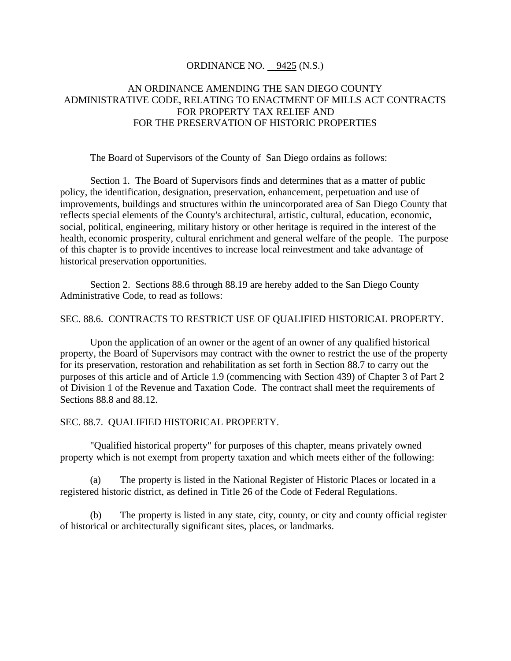#### ORDINANCE NO. 9425 (N.S.)

# AN ORDINANCE AMENDING THE SAN DIEGO COUNTY ADMINISTRATIVE CODE, RELATING TO ENACTMENT OF MILLS ACT CONTRACTS FOR PROPERTY TAX RELIEF AND FOR THE PRESERVATION OF HISTORIC PROPERTIES

The Board of Supervisors of the County of San Diego ordains as follows:

Section 1. The Board of Supervisors finds and determines that as a matter of public policy, the identification, designation, preservation, enhancement, perpetuation and use of improvements, buildings and structures within the unincorporated area of San Diego County that reflects special elements of the County's architectural, artistic, cultural, education, economic, social, political, engineering, military history or other heritage is required in the interest of the health, economic prosperity, cultural enrichment and general welfare of the people. The purpose of this chapter is to provide incentives to increase local reinvestment and take advantage of historical preservation opportunities.

Section 2. Sections 88.6 through 88.19 are hereby added to the San Diego County Administrative Code, to read as follows:

### SEC. 88.6. CONTRACTS TO RESTRICT USE OF QUALIFIED HISTORICAL PROPERTY.

Upon the application of an owner or the agent of an owner of any qualified historical property, the Board of Supervisors may contract with the owner to restrict the use of the property for its preservation, restoration and rehabilitation as set forth in Section 88.7 to carry out the purposes of this article and of Article 1.9 (commencing with Section 439) of Chapter 3 of Part 2 of Division 1 of the Revenue and Taxation Code. The contract shall meet the requirements of Sections 88.8 and 88.12.

### SEC. 88.7. QUALIFIED HISTORICAL PROPERTY.

"Qualified historical property" for purposes of this chapter, means privately owned property which is not exempt from property taxation and which meets either of the following:

(a) The property is listed in the National Register of Historic Places or located in a registered historic district, as defined in Title 26 of the Code of Federal Regulations.

(b) The property is listed in any state, city, county, or city and county official register of historical or architecturally significant sites, places, or landmarks.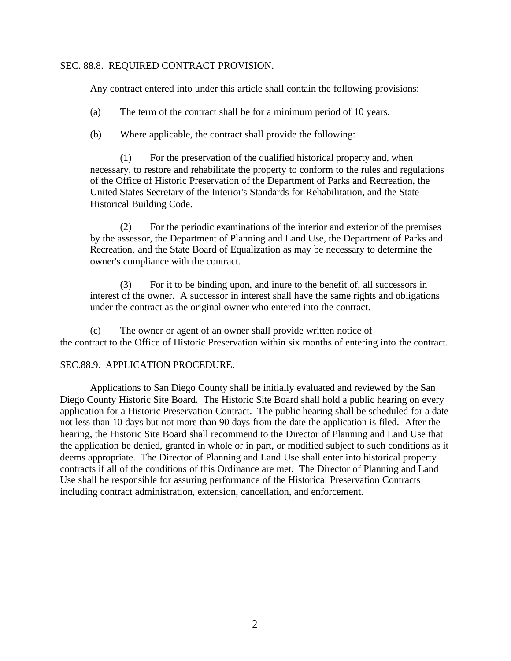#### SEC. 88.8. REQUIRED CONTRACT PROVISION.

Any contract entered into under this article shall contain the following provisions:

- (a) The term of the contract shall be for a minimum period of 10 years.
- (b) Where applicable, the contract shall provide the following:

(1) For the preservation of the qualified historical property and, when necessary, to restore and rehabilitate the property to conform to the rules and regulations of the Office of Historic Preservation of the Department of Parks and Recreation, the United States Secretary of the Interior's Standards for Rehabilitation, and the State Historical Building Code.

(2) For the periodic examinations of the interior and exterior of the premises by the assessor, the Department of Planning and Land Use, the Department of Parks and Recreation, and the State Board of Equalization as may be necessary to determine the owner's compliance with the contract.

(3) For it to be binding upon, and inure to the benefit of, all successors in interest of the owner. A successor in interest shall have the same rights and obligations under the contract as the original owner who entered into the contract.

(c) The owner or agent of an owner shall provide written notice of the contract to the Office of Historic Preservation within six months of entering into the contract.

## SEC.88.9. APPLICATION PROCEDURE.

Applications to San Diego County shall be initially evaluated and reviewed by the San Diego County Historic Site Board. The Historic Site Board shall hold a public hearing on every application for a Historic Preservation Contract. The public hearing shall be scheduled for a date not less than 10 days but not more than 90 days from the date the application is filed. After the hearing, the Historic Site Board shall recommend to the Director of Planning and Land Use that the application be denied, granted in whole or in part, or modified subject to such conditions as it deems appropriate. The Director of Planning and Land Use shall enter into historical property contracts if all of the conditions of this Ordinance are met. The Director of Planning and Land Use shall be responsible for assuring performance of the Historical Preservation Contracts including contract administration, extension, cancellation, and enforcement.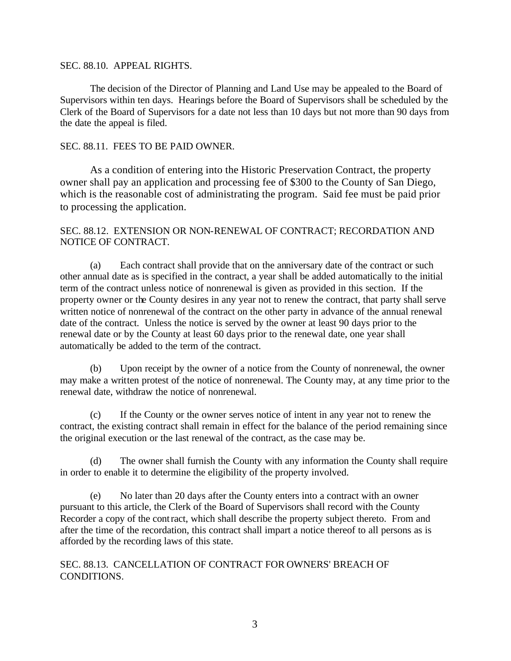### SEC. 88.10. APPEAL RIGHTS.

The decision of the Director of Planning and Land Use may be appealed to the Board of Supervisors within ten days. Hearings before the Board of Supervisors shall be scheduled by the Clerk of the Board of Supervisors for a date not less than 10 days but not more than 90 days from the date the appeal is filed.

# SEC. 88.11. FEES TO BE PAID OWNER.

As a condition of entering into the Historic Preservation Contract, the property owner shall pay an application and processing fee of \$300 to the County of San Diego, which is the reasonable cost of administrating the program. Said fee must be paid prior to processing the application.

# SEC. 88.12. EXTENSION OR NON-RENEWAL OF CONTRACT; RECORDATION AND NOTICE OF CONTRACT.

(a) Each contract shall provide that on the anniversary date of the contract or such other annual date as is specified in the contract, a year shall be added automatically to the initial term of the contract unless notice of nonrenewal is given as provided in this section. If the property owner or the County desires in any year not to renew the contract, that party shall serve written notice of nonrenewal of the contract on the other party in advance of the annual renewal date of the contract. Unless the notice is served by the owner at least 90 days prior to the renewal date or by the County at least 60 days prior to the renewal date, one year shall automatically be added to the term of the contract.

(b) Upon receipt by the owner of a notice from the County of nonrenewal, the owner may make a written protest of the notice of nonrenewal. The County may, at any time prior to the renewal date, withdraw the notice of nonrenewal.

(c) If the County or the owner serves notice of intent in any year not to renew the contract, the existing contract shall remain in effect for the balance of the period remaining since the original execution or the last renewal of the contract, as the case may be.

(d) The owner shall furnish the County with any information the County shall require in order to enable it to determine the eligibility of the property involved.

(e) No later than 20 days after the County enters into a contract with an owner pursuant to this article, the Clerk of the Board of Supervisors shall record with the County Recorder a copy of the contract, which shall describe the property subject thereto. From and after the time of the recordation, this contract shall impart a notice thereof to all persons as is afforded by the recording laws of this state.

SEC. 88.13. CANCELLATION OF CONTRACT FOR OWNERS' BREACH OF CONDITIONS.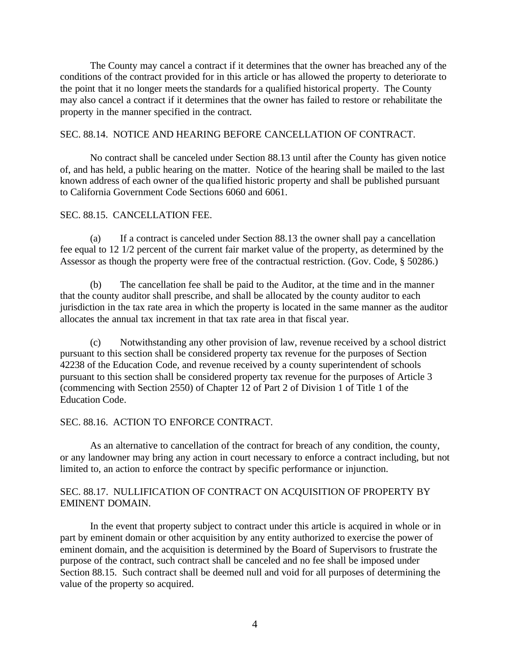The County may cancel a contract if it determines that the owner has breached any of the conditions of the contract provided for in this article or has allowed the property to deteriorate to the point that it no longer meets the standards for a qualified historical property. The County may also cancel a contract if it determines that the owner has failed to restore or rehabilitate the property in the manner specified in the contract.

### SEC. 88.14. NOTICE AND HEARING BEFORE CANCELLATION OF CONTRACT.

No contract shall be canceled under Section 88.13 until after the County has given notice of, and has held, a public hearing on the matter. Notice of the hearing shall be mailed to the last known address of each owner of the qua lified historic property and shall be published pursuant to California Government Code Sections 6060 and 6061.

### SEC. 88.15. CANCELLATION FEE.

(a) If a contract is canceled under Section 88.13 the owner shall pay a cancellation fee equal to 12 1/2 percent of the current fair market value of the property, as determined by the Assessor as though the property were free of the contractual restriction. (Gov. Code, § 50286.)

(b) The cancellation fee shall be paid to the Auditor, at the time and in the manner that the county auditor shall prescribe, and shall be allocated by the county auditor to each jurisdiction in the tax rate area in which the property is located in the same manner as the auditor allocates the annual tax increment in that tax rate area in that fiscal year.

(c) Notwithstanding any other provision of law, revenue received by a school district pursuant to this section shall be considered property tax revenue for the purposes of Section 42238 of the Education Code, and revenue received by a county superintendent of schools pursuant to this section shall be considered property tax revenue for the purposes of Article 3 (commencing with Section 2550) of Chapter 12 of Part 2 of Division 1 of Title 1 of the Education Code.

## SEC. 88.16. ACTION TO ENFORCE CONTRACT.

As an alternative to cancellation of the contract for breach of any condition, the county, or any landowner may bring any action in court necessary to enforce a contract including, but not limited to, an action to enforce the contract by specific performance or injunction.

## SEC. 88.17. NULLIFICATION OF CONTRACT ON ACQUISITION OF PROPERTY BY EMINENT DOMAIN.

In the event that property subject to contract under this article is acquired in whole or in part by eminent domain or other acquisition by any entity authorized to exercise the power of eminent domain, and the acquisition is determined by the Board of Supervisors to frustrate the purpose of the contract, such contract shall be canceled and no fee shall be imposed under Section 88.15. Such contract shall be deemed null and void for all purposes of determining the value of the property so acquired.